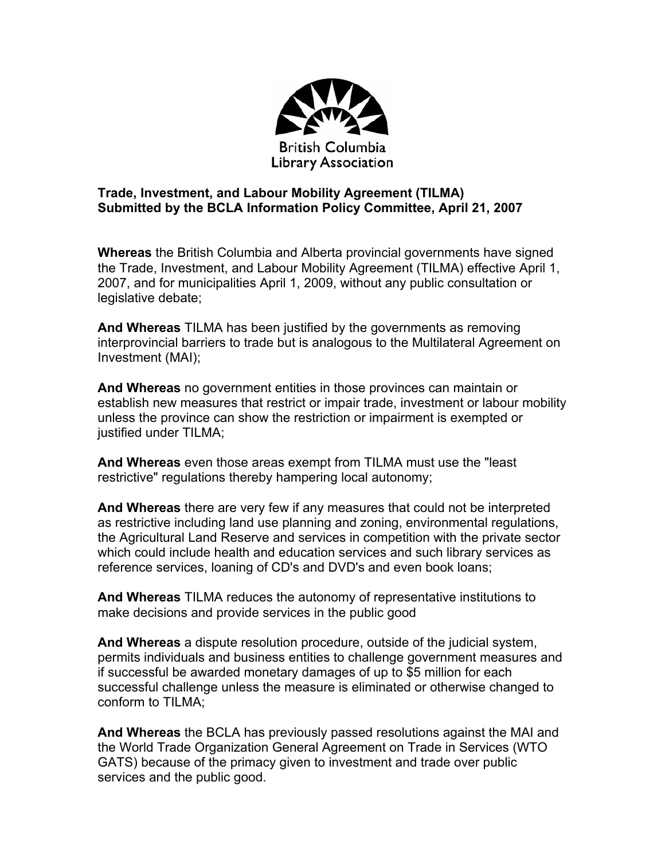

## **Trade, Investment, and Labour Mobility Agreement (TILMA) Submitted by the BCLA Information Policy Committee, April 21, 2007**

**Whereas** the British Columbia and Alberta provincial governments have signed the Trade, Investment, and Labour Mobility Agreement (TILMA) effective April 1, 2007, and for municipalities April 1, 2009, without any public consultation or legislative debate;

**And Whereas** TILMA has been justified by the governments as removing interprovincial barriers to trade but is analogous to the Multilateral Agreement on Investment (MAI);

**And Whereas** no government entities in those provinces can maintain or establish new measures that restrict or impair trade, investment or labour mobility unless the province can show the restriction or impairment is exempted or justified under TILMA;

**And Whereas** even those areas exempt from TILMA must use the "least restrictive" regulations thereby hampering local autonomy;

**And Whereas** there are very few if any measures that could not be interpreted as restrictive including land use planning and zoning, environmental regulations, the Agricultural Land Reserve and services in competition with the private sector which could include health and education services and such library services as reference services, loaning of CD's and DVD's and even book loans;

**And Whereas** TILMA reduces the autonomy of representative institutions to make decisions and provide services in the public good

**And Whereas** a dispute resolution procedure, outside of the judicial system, permits individuals and business entities to challenge government measures and if successful be awarded monetary damages of up to \$5 million for each successful challenge unless the measure is eliminated or otherwise changed to conform to TILMA;

**And Whereas** the BCLA has previously passed resolutions against the MAI and the World Trade Organization General Agreement on Trade in Services (WTO GATS) because of the primacy given to investment and trade over public services and the public good.